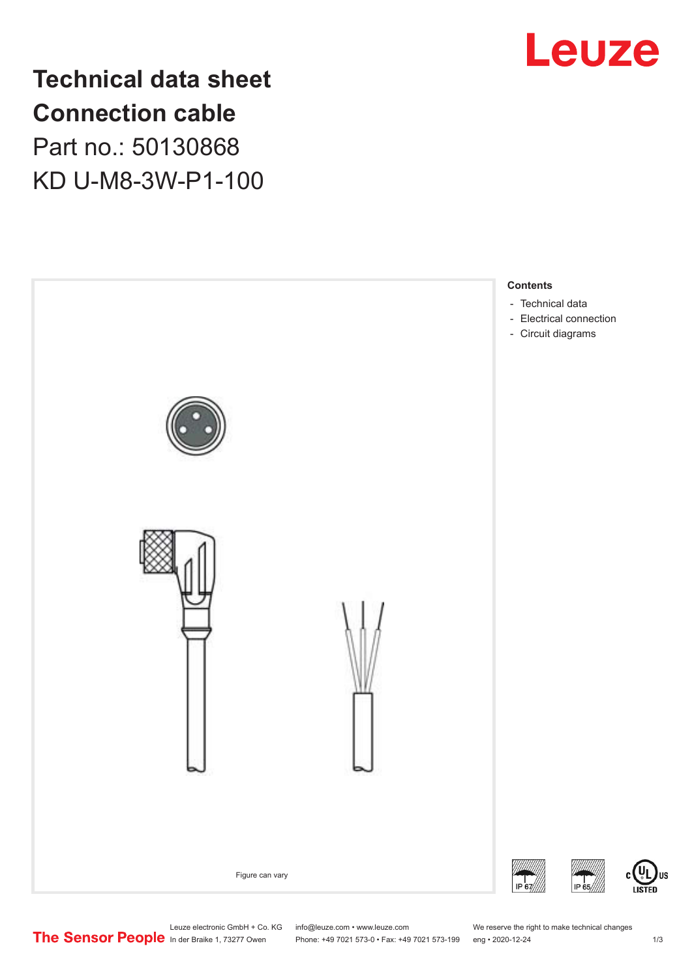

**Technical data sheet Connection cable** Part no.: 50130868 KD U-M8-3W-P1-100



# Leuze electronic GmbH + Co. KG info@leuze.com • www.leuze.com We reserve the right to make technical changes<br>
The Sensor People in der Braike 1, 73277 Owen Phone: +49 7021 573-0 • Fax: +49 7021 573-199 eng • 2020-12-24

Phone: +49 7021 573-0 • Fax: +49 7021 573-199 eng • 2020-12-24 1 2020-12-24

US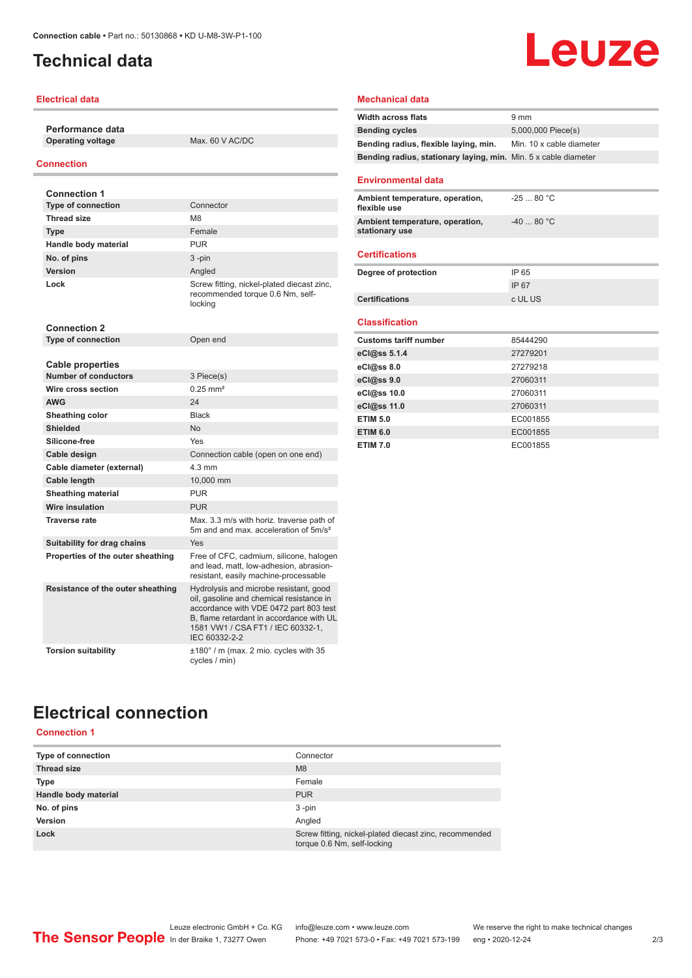### <span id="page-1-0"></span>**Technical data**

### **Electrical data**

**Performance data Operating voltage** Max. 60 V AC/DC

#### **Connection**

| <b>Connection 1</b>                                    |                                                                                                                                                                                                                                |
|--------------------------------------------------------|--------------------------------------------------------------------------------------------------------------------------------------------------------------------------------------------------------------------------------|
| <b>Type of connection</b>                              | Connector                                                                                                                                                                                                                      |
| <b>Thread size</b>                                     | M <sub>8</sub>                                                                                                                                                                                                                 |
| <b>Type</b>                                            | Female                                                                                                                                                                                                                         |
| Handle body material                                   | <b>PUR</b>                                                                                                                                                                                                                     |
| No. of pins                                            | $3 - pin$                                                                                                                                                                                                                      |
| <b>Version</b>                                         | Angled                                                                                                                                                                                                                         |
| Lock                                                   | Screw fitting, nickel-plated diecast zinc,<br>recommended torque 0.6 Nm, self-<br>locking                                                                                                                                      |
| <b>Connection 2</b>                                    |                                                                                                                                                                                                                                |
| <b>Type of connection</b>                              | Open end                                                                                                                                                                                                                       |
|                                                        |                                                                                                                                                                                                                                |
| <b>Cable properties</b><br><b>Number of conductors</b> | 3 Piece(s)                                                                                                                                                                                                                     |
| Wire cross section                                     | $0.25$ mm <sup>2</sup>                                                                                                                                                                                                         |
| <b>AWG</b>                                             | 24                                                                                                                                                                                                                             |
|                                                        |                                                                                                                                                                                                                                |
| <b>Sheathing color</b>                                 | <b>Black</b>                                                                                                                                                                                                                   |
| <b>Shielded</b>                                        | No                                                                                                                                                                                                                             |
| Silicone-free                                          | Yes                                                                                                                                                                                                                            |
| Cable design                                           | Connection cable (open on one end)                                                                                                                                                                                             |
| Cable diameter (external)                              | $4.3 \text{ mm}$                                                                                                                                                                                                               |
| Cable length                                           | 10,000 mm                                                                                                                                                                                                                      |
| <b>Sheathing material</b>                              | <b>PUR</b>                                                                                                                                                                                                                     |
| Wire insulation                                        | <b>PUR</b>                                                                                                                                                                                                                     |
| <b>Traverse rate</b>                                   | Max. 3.3 m/s with horiz. traverse path of<br>5m and and max, acceleration of 5m/s <sup>2</sup>                                                                                                                                 |
| Suitability for drag chains                            | Yes                                                                                                                                                                                                                            |
| Properties of the outer sheathing                      | Free of CFC, cadmium, silicone, halogen<br>and lead, matt, low-adhesion, abrasion-<br>resistant, easily machine-processable                                                                                                    |
| Resistance of the outer sheathing                      | Hydrolysis and microbe resistant, good<br>oil, gasoline and chemical resistance in<br>accordance with VDE 0472 part 803 test<br>B, flame retardant in accordance with UL<br>1581 VW1 / CSA FT1 / IEC 60332-1,<br>IEC 60332-2-2 |
| <b>Torsion suitability</b>                             | $\pm 180^\circ$ / m (max. 2 mio. cycles with 35<br>cycles / min)                                                                                                                                                               |

### **Mechanical data**

| <b>Width across flats</b>                                       | 9 <sub>mm</sub>          |
|-----------------------------------------------------------------|--------------------------|
| <b>Bending cycles</b>                                           | 5,000,000 Piece(s)       |
| Bending radius, flexible laying, min.                           | Min. 10 x cable diameter |
| Bending radius, stationary laying, min. Min. 5 x cable diameter |                          |
| <b>Environmental data</b>                                       |                          |
|                                                                 |                          |
| Ambient temperature, operation,<br>flexible use                 | $-2580 °C$               |
| Ambient temperature, operation,<br>stationary use               | $-4080 °C$               |
| <b>Certifications</b>                                           |                          |
| Degree of protection                                            | IP 65                    |
|                                                                 | IP 67                    |
| <b>Certifications</b>                                           | c UL US                  |
|                                                                 |                          |
| <b>Classification</b>                                           |                          |
| <b>Customs tariff number</b>                                    | 85444290                 |
| eCl@ss 5.1.4                                                    | 27279201                 |
| eCl@ss 8.0                                                      | 27279218                 |
| eCl@ss 9.0                                                      | 27060311                 |
| eCl@ss 10.0                                                     | 27060311                 |
| eCl@ss 11.0                                                     | 27060311                 |
| <b>ETIM 5.0</b>                                                 | EC001855                 |
| <b>ETIM 6.0</b>                                                 | EC001855                 |
| <b>ETIM 7.0</b>                                                 | EC001855                 |

Leuze

# **Electrical connection**

**Connection 1**

| Type of connection   | Connector                                                                             |
|----------------------|---------------------------------------------------------------------------------------|
| <b>Thread size</b>   | M <sub>8</sub>                                                                        |
| Type                 | Female                                                                                |
| Handle body material | <b>PUR</b>                                                                            |
| No. of pins          | $3 - pin$                                                                             |
| <b>Version</b>       | Angled                                                                                |
| Lock                 | Screw fitting, nickel-plated diecast zinc, recommended<br>torque 0.6 Nm, self-locking |